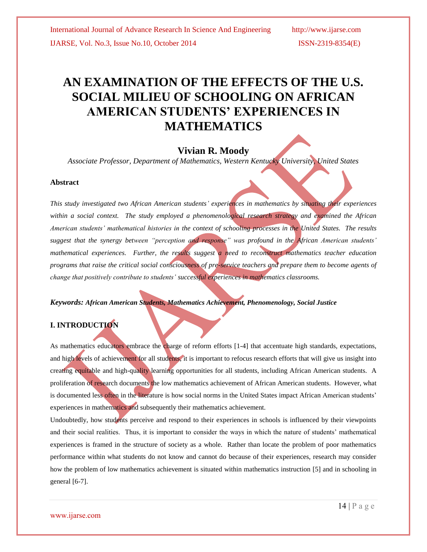# **AN EXAMINATION OF THE EFFECTS OF THE U.S. SOCIAL MILIEU OF SCHOOLING ON AFRICAN AMERICAN STUDENTS' EXPERIENCES IN MATHEMATICS**

## **Vivian R. Moody**

*Associate Professor, Department of Mathematics, Western Kentucky University, United States*

#### **Abstract**

*This study investigated two African American students' experiences in mathematics by situating their experiences within a social context. The study employed a phenomenological research strategy and examined the African American students' mathematical histories in the context of schooling processes in the United States. The results suggest that the synergy between "perception and response" was profound in the African American students' mathematical experiences. Further, the results suggest a need to reconstruct mathematics teacher education programs that raise the critical social consciousness of pre-service teachers and prepare them to become agents of change that positively contribute to students' successful experiences in mathematics classrooms.*

*Keywords: African American Students, Mathematics Achievement, Phenomenology, Social Justice*

## **I. INTRODUCTION**

As mathematics educators embrace the charge of reform efforts [1-4] that accentuate high standards, expectations, and high levels of achievement for all students, it is important to refocus research efforts that will give us insight into creating equitable and high-quality learning opportunities for all students, including African American students. A proliferation of research documents the low mathematics achievement of African American students. However, what is documented less often in the literature is how social norms in the United States impact African American students' experiences in mathematics and subsequently their mathematics achievement.

Undoubtedly, how students perceive and respond to their experiences in schools is influenced by their viewpoints and their social realities. Thus, it is important to consider the ways in which the nature of students' mathematical experiences is framed in the structure of society as a whole. Rather than locate the problem of poor mathematics performance within what students do not know and cannot do because of their experiences, research may consider how the problem of low mathematics achievement is situated within mathematics instruction [5] and in schooling in general [6-7].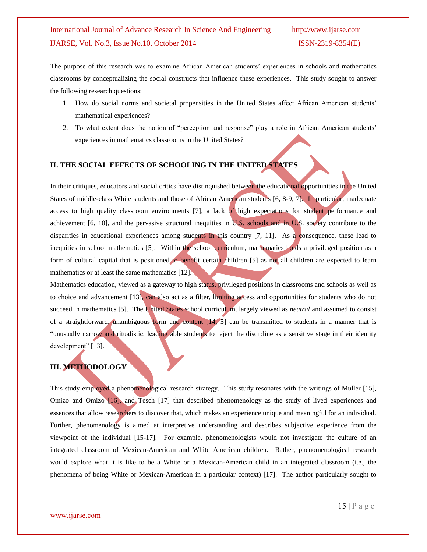The purpose of this research was to examine African American students' experiences in schools and mathematics classrooms by conceptualizing the social constructs that influence these experiences. This study sought to answer the following research questions:

- 1. How do social norms and societal propensities in the United States affect African American students' mathematical experiences?
- 2. To what extent does the notion of "perception and response" play a role in African American students' experiences in mathematics classrooms in the United States?

### **II. THE SOCIAL EFFECTS OF SCHOOLING IN THE UNITED STATES**

In their critiques, educators and social critics have distinguished between the educational opportunities in the United States of middle-class White students and those of African American students [6, 8-9, 7]. In particular, inadequate access to high quality classroom environments [7], a lack of high expectations for student performance and achievement [6, 10], and the pervasive structural inequities in  $\overline{U.S.}$  schools and in  $\overline{U.S.}$  society contribute to the disparities in educational experiences among students in this country [7, 11]. As a consequence, these lead to inequities in school mathematics [5]. Within the school curriculum, mathematics holds a privileged position as a form of cultural capital that is positioned to benefit certain children [5] as not all children are expected to learn mathematics or at least the same mathematics [12].

Mathematics education, viewed as a gateway to high status, privileged positions in classrooms and schools as well as to choice and advancement [13], can also act as a filter, limiting access and opportunities for students who do not succeed in mathematics [5]. The United States school curriculum, largely viewed as *neutral* and assumed to consist of a straightforward, unambiguous form and content [14, 5] can be transmitted to students in a manner that is "unusually narrow and ritualistic, leading able students to reject the discipline as a sensitive stage in their identity development" [13].

### **III. METHODOLOGY**

This study employed a phenomenological research strategy. This study resonates with the writings of Muller [15], Omizo and Omizo [16], and Tesch [17] that described phenomenology as the study of lived experiences and essences that allow researchers to discover that, which makes an experience unique and meaningful for an individual. Further, phenomenology is aimed at interpretive understanding and describes subjective experience from the viewpoint of the individual [15-17]. For example, phenomenologists would not investigate the culture of an integrated classroom of Mexican-American and White American children. Rather, phenomenological research would explore what it is like to be a White or a Mexican-American child in an integrated classroom (i.e., the phenomena of being White or Mexican-American in a particular context) [17]. The author particularly sought to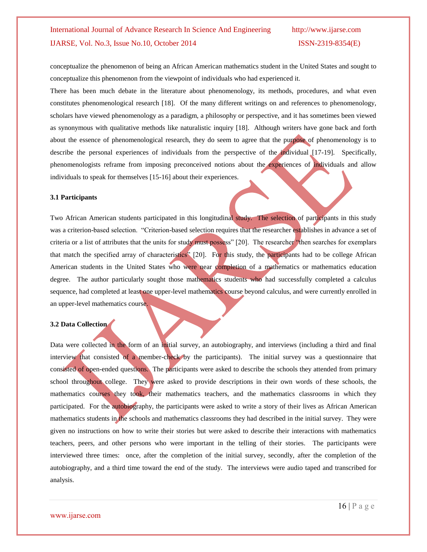conceptualize the phenomenon of being an African American mathematics student in the United States and sought to conceptualize this phenomenon from the viewpoint of individuals who had experienced it.

There has been much debate in the literature about phenomenology, its methods, procedures, and what even constitutes phenomenological research [18]. Of the many different writings on and references to phenomenology, scholars have viewed phenomenology as a paradigm, a philosophy or perspective, and it has sometimes been viewed as synonymous with qualitative methods like naturalistic inquiry [18]. Although writers have gone back and forth about the essence of phenomenological research, they do seem to agree that the purpose of phenomenology is to describe the personal experiences of individuals from the perspective of the individual [17-19]. Specifically, phenomenologists reframe from imposing preconceived notions about the experiences of individuals and allow individuals to speak for themselves [15-16] about their experiences.

#### **3.1 Participants**

Two African American students participated in this longitudinal study. The selection of participants in this study was a criterion-based selection. "Criterion-based selection requires that the researcher establishes in advance a set of criteria or a list of attributes that the units for study must possess" [20]. The researcher "then searches for exemplars that match the specified array of characteristics<sup>"</sup> [20]. For this study, the participants had to be college African American students in the United States who were near completion of a mathematics or mathematics education degree. The author particularly sought those mathematics students who had successfully completed a calculus sequence, had completed at least one upper-level mathematics course beyond calculus, and were currently enrolled in an upper-level mathematics course.

#### **3.2 Data Collection**

Data were collected in the form of an initial survey, an autobiography, and interviews (including a third and final interview that consisted of a member-check by the participants). The initial survey was a questionnaire that consisted of open-ended questions. The participants were asked to describe the schools they attended from primary school throughout college. They were asked to provide descriptions in their own words of these schools, the mathematics courses they took, their mathematics teachers, and the mathematics classrooms in which they participated. For the autobiography, the participants were asked to write a story of their lives as African American mathematics students in the schools and mathematics classrooms they had described in the initial survey. They were given no instructions on how to write their stories but were asked to describe their interactions with mathematics teachers, peers, and other persons who were important in the telling of their stories. The participants were interviewed three times: once, after the completion of the initial survey, secondly, after the completion of the autobiography, and a third time toward the end of the study. The interviews were audio taped and transcribed for analysis.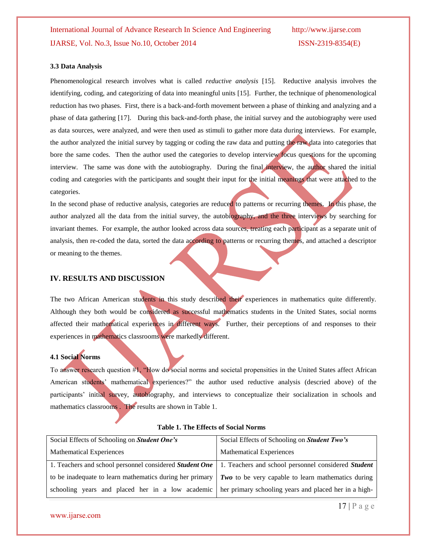#### **3.3 Data Analysis**

Phenomenological research involves what is called *reductive analysis* [15]. Reductive analysis involves the identifying, coding, and categorizing of data into meaningful units [15]. Further, the technique of phenomenological reduction has two phases. First, there is a back-and-forth movement between a phase of thinking and analyzing and a phase of data gathering [17]. During this back-and-forth phase, the initial survey and the autobiography were used as data sources, were analyzed, and were then used as stimuli to gather more data during interviews. For example, the author analyzed the initial survey by tagging or coding the raw data and putting the raw data into categories that bore the same codes. Then the author used the categories to develop interview focus questions for the upcoming interview. The same was done with the autobiography. During the final interview, the author shared the initial coding and categories with the participants and sought their input for the initial meanings that were attached to the categories.

In the second phase of reductive analysis, categories are reduced to patterns or recurring themes. In this phase, the author analyzed all the data from the initial survey, the autobiography, and the three interviews by searching for invariant themes. For example, the author looked across data sources, treating each participant as a separate unit of analysis, then re-coded the data, sorted the data according to patterns or recurring themes, and attached a descriptor or meaning to the themes.

#### **IV. RESULTS AND DISCUSSION**

The two African American students in this study described their experiences in mathematics quite differently. Although they both would be considered as successful mathematics students in the United States, social norms affected their mathematical experiences in different ways. Further, their perceptions of and responses to their experiences in mathematics classrooms were markedly different.

### **4.1 Social Norms**

To answer research question #1, "How do social norms and societal propensities in the United States affect African American students' mathematical experiences?" the author used reductive analysis (descried above) of the participants' initial survey, autobiography, and interviews to conceptualize their socialization in schools and mathematics classrooms . The results are shown in Table 1.

| Social Effects of Schooling on Student One's                                                                                | Social Effects of Schooling on Student Two's |
|-----------------------------------------------------------------------------------------------------------------------------|----------------------------------------------|
| <b>Mathematical Experiences</b>                                                                                             | <b>Mathematical Experiences</b>              |
| 1. Teachers and school personnel considered <i>Student One</i>   1. Teachers and school personnel considered <i>Student</i> |                                              |
| to be inadequate to learn mathematics during her primary $\mid Two\>$ to be very capable to learn mathematics during        |                                              |
| schooling years and placed her in a low academic   her primary schooling years and placed her in a high-                    |                                              |

#### **Table 1. The Effects of Social Norms**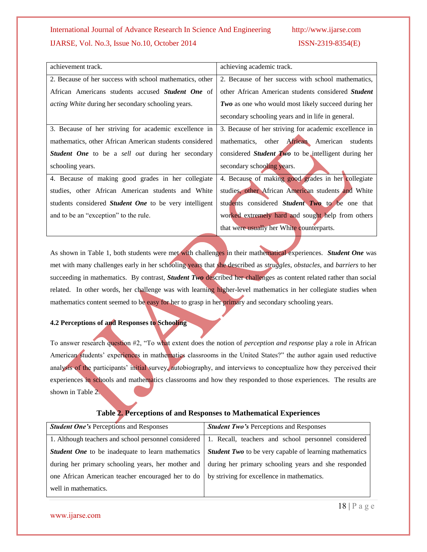| achievement track.                                            | achieving academic track.                                  |
|---------------------------------------------------------------|------------------------------------------------------------|
| 2. Because of her success with school mathematics, other      | 2. Because of her success with school mathematics,         |
| African Americans students accused <b>Student One</b> of      | other African American students considered Student         |
| acting White during her secondary schooling years.            | <b>Two</b> as one who would most likely succeed during her |
|                                                               | secondary schooling years and in life in general.          |
| 3. Because of her striving for academic excellence in         | 3. Because of her striving for academic excellence in      |
| mathematics, other African American students considered       | mathematics, other African American<br>students            |
| <b>Student One</b> to be a sell out during her secondary      | considered <i>Student Two</i> to be intelligent during her |
| schooling years.                                              | secondary schooling years.                                 |
| 4. Because of making good grades in her collegiate            | 4. Because of making good grades in her collegiate         |
| studies, other African American students and White            | studies, other African American students and White         |
| students considered <i>Student One</i> to be very intelligent | students considered <i>Student</i> Two to be one that      |
| and to be an "exception" to the rule.                         | worked extremely hard and sought help from others          |
|                                                               | that were usually her White counterparts.                  |

As shown in Table 1, both students were met with challenges in their mathematical experiences. *Student One* was met with many challenges early in her schooling years that she described as *struggles*, *obstacles*, and *barriers* to her succeeding in mathematics. By contrast, *Student Two* described her challenges as content related rather than social related. In other words, her challenge was with learning higher-level mathematics in her collegiate studies when mathematics content seemed to be easy for her to grasp in her primary and secondary schooling years.

### **4.2 Perceptions of and Responses to Schooling**

To answer research question #2, "To what extent does the notion of *perception and response* play a role in African American students' experiences in mathematics classrooms in the United States?" the author again used reductive analysis of the participants' initial survey, autobiography, and interviews to conceptualize how they perceived their experiences in schools and mathematics classrooms and how they responded to those experiences. The results are shown in Table 2.

| <b>Student One's Perceptions and Responses</b>                                                       | <b><i>Student Two's</i></b> Perceptions and Responses                                                      |
|------------------------------------------------------------------------------------------------------|------------------------------------------------------------------------------------------------------------|
|                                                                                                      | 1. Although teachers and school personnel considered   1. Recall, teachers and school personnel considered |
| <b>Student One</b> to be inadequate to learn mathematics                                             | <b>Student Two</b> to be very capable of learning mathematics                                              |
|                                                                                                      | during her primary schooling years, her mother and during her primary schooling years and she responded    |
| one African American teacher encouraged her to do $\vert$ by striving for excellence in mathematics. |                                                                                                            |
| well in mathematics.                                                                                 |                                                                                                            |

### **Table 2. Perceptions of and Responses to Mathematical Experiences**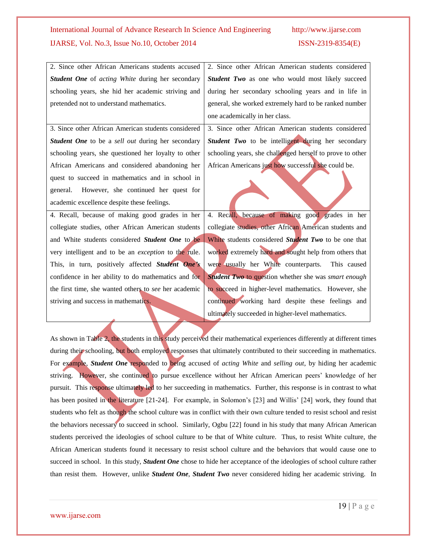| 2. Since other African Americans students accused                                                                        | 2. Since other African American students considered         |  |
|--------------------------------------------------------------------------------------------------------------------------|-------------------------------------------------------------|--|
| Student One of acting White during her secondary                                                                         | Student Two as one who would most likely succeed            |  |
| schooling years, she hid her academic striving and                                                                       | during her secondary schooling years and in life in         |  |
| pretended not to understand mathematics.                                                                                 | general, she worked extremely hard to be ranked number      |  |
|                                                                                                                          | one academically in her class.                              |  |
| 3. Since other African American students considered                                                                      | 3. Since other African American students considered         |  |
| Student One to be a sell out during her secondary                                                                        | Student Two to be intelligent during her secondary          |  |
| schooling years, she questioned her loyalty to other                                                                     | schooling years, she challenged herself to prove to other   |  |
| African Americans and considered abandoning her                                                                          | African Americans just how successful she could be.         |  |
| quest to succeed in mathematics and in school in                                                                         |                                                             |  |
| However, she continued her quest for<br>general.                                                                         |                                                             |  |
| academic excellence despite these feelings.                                                                              |                                                             |  |
| 4. Recall, because of making good grades in her                                                                          | 4. Recall, because of making good grades in her             |  |
| collegiate studies, other African American students                                                                      | collegiate studies, other African American students and     |  |
| and White students considered Student One to be                                                                          | White students considered Student Two to be one that        |  |
| very intelligent and to be an <i>exception</i> to the rule.                                                              | worked extremely hard and sought help from others that      |  |
| This, in turn, positively affected Student One's                                                                         | were usually her White counterparts.<br>This caused         |  |
| confidence in her ability to do mathematics and for                                                                      | <b>Student Two to question whether she was smart enough</b> |  |
| the first time, she wanted others to see her academic                                                                    | to succeed in higher-level mathematics. However, she        |  |
| striving and success in mathematics.                                                                                     | continued working hard despite these feelings and           |  |
|                                                                                                                          | ultimately succeeded in higher-level mathematics.           |  |
|                                                                                                                          |                                                             |  |
| As shown in Table 2, the students in this study perceived their mathematical experiences differently at different times  |                                                             |  |
| during their schooling, but both employed responses that ultimately contributed to their succeeding in mathematics.      |                                                             |  |
| For example, Student One responded to being accused of acting White and selling out, by hiding her academic              |                                                             |  |
| striving. However, she continued to pursue excellence without her African American peers' knowledge of her               |                                                             |  |
| pursuit. This response ultimately led to her succeeding in mathematics. Further, this response is in contrast to what    |                                                             |  |
| has been posited in the literature [21-24]. For example, in Solomon's [23] and Willis' [24] work, they found that        |                                                             |  |
| students who felt as though the school culture was in conflict with their own culture tended to resist school and resist |                                                             |  |
| the behaviors necessary to succeed in school. Similarly, Ogbu [22] found in his study that many African American         |                                                             |  |
| students perceived the ideologies of school culture to be that of White culture. Thus, to resist White culture, the      |                                                             |  |

succeed in school. In this study, *Student One* chose to hide her acceptance of the ideologies of school culture rather than resist them. However, unlike *Student One*, *Student Two* never considered hiding her academic striving. In

African American students found it necessary to resist school culture and the behaviors that would cause one to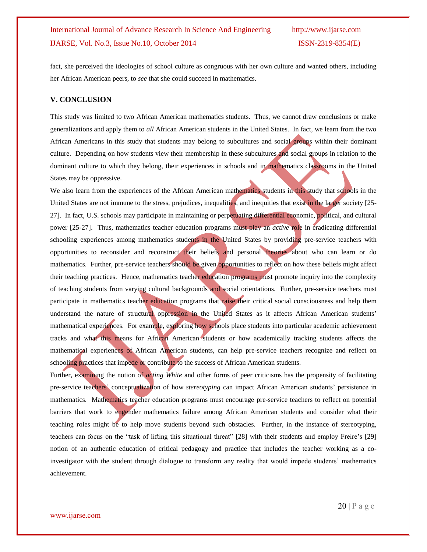fact, she perceived the ideologies of school culture as congruous with her own culture and wanted others, including her African American peers, to *see* that she could succeed in mathematics.

#### **V. CONCLUSION**

This study was limited to two African American mathematics students. Thus, we cannot draw conclusions or make generalizations and apply them to *all* African American students in the United States. In fact, we learn from the two African Americans in this study that students may belong to subcultures and social groups within their dominant culture. Depending on how students view their membership in these subcultures and social groups in relation to the dominant culture to which they belong, their experiences in schools and in mathematics classrooms in the United States may be oppressive.

We also learn from the experiences of the African American mathematics students in this study that schools in the United States are not immune to the stress, prejudices, inequalities, and inequities that exist in the larger society [25-27]. In fact, U.S. schools may participate in maintaining or perpetuating differential economic, political, and cultural power [25-27]. Thus, mathematics teacher education programs must play an *active* role in eradicating differential schooling experiences among mathematics students in the United States by providing pre-service teachers with opportunities to reconsider and reconstruct their beliefs and personal theories about who can learn or do mathematics. Further, pre-service teachers should be given opportunities to reflect on how these beliefs might affect their teaching practices. Hence, mathematics teacher education programs must promote inquiry into the complexity of teaching students from varying cultural backgrounds and social orientations. Further, pre-service teachers must participate in mathematics teacher education programs that raise their critical social consciousness and help them understand the nature of structural oppression in the United States as it affects African American students' mathematical experiences. For example, exploring how schools place students into particular academic achievement tracks and what this means for African American students or how academically tracking students affects the mathematical experiences of African American students, can help pre-service teachers recognize and reflect on schooling practices that impede or contribute to the success of African American students.

Further, examining the notion of *acting White* and other forms of peer criticisms has the propensity of facilitating pre-service teachers' conceptualization of how *stereotyping* can impact African American students' persistence in mathematics. Mathematics teacher education programs must encourage pre-service teachers to reflect on potential barriers that work to engender mathematics failure among African American students and consider what their teaching roles might be to help move students beyond such obstacles. Further, in the instance of stereotyping, teachers can focus on the "task of lifting this situational threat" [28] with their students and employ Freire's [29] notion of an authentic education of critical pedagogy and practice that includes the teacher working as a coinvestigator with the student through dialogue to transform any reality that would impede students' mathematics achievement.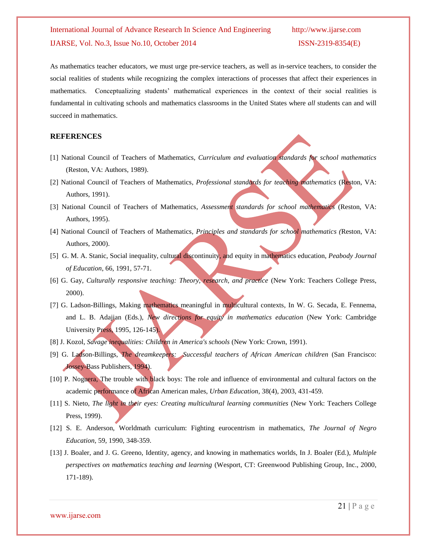As mathematics teacher educators, we must urge pre-service teachers, as well as in-service teachers, to consider the social realities of students while recognizing the complex interactions of processes that affect their experiences in mathematics. Conceptualizing students' mathematical experiences in the context of their social realities is fundamental in cultivating schools and mathematics classrooms in the United States where *all* students can and will succeed in mathematics.

#### **REFERENCES**

- [1] National Council of Teachers of Mathematics, *Curriculum and evaluation standards for school mathematics* (Reston, VA: Authors, 1989).
- [2] National Council of Teachers of Mathematics, *Professional standards for teaching mathematics* (Reston, VA: Authors, 1991).
- [3] National Council of Teachers of Mathematics, *Assessment* standards for school mathematics (Reston, VA: Authors, 1995).
- [4] National Council of Teachers of Mathematics, *Principles and standards for school mathematics (*Reston, VA: Authors, 2000).
- [5] G. M. A. Stanic, Social inequality, cultural discontinuity, and equity in mathematics education, *Peabody Journal of Education*, 66, 1991, 57-71.
- [6] G. Gay, *Culturally responsive teaching: Theory, research, and practice* (New York: Teachers College Press, 2000).
- [7] G. Ladson-Billings, Making mathematics meaningful in multicultural contexts, In W. G. Secada, E. Fennema, and L. B. Adajian (Eds.), *New directions for equity in mathematics education* (New York: Cambridge University Press, 1995, 126-145).
- [8] J. Kozol, *Savage inequalities: Children in America's schools* (New York: Crown, 1991).
- [9] G. Ladson-Billings, *The dreamkeepers: Successful teachers of African American children* (San Francisco: Jossey-Bass Publishers, 1994).
- [10] P. Noguera, The trouble with black boys: The role and influence of environmental and cultural factors on the academic performance of African American males, *Urban Education*, 38(4), 2003, 431-459.
- [11] S. Nieto, *The light in their eyes: Creating multicultural learning communities* (New York: Teachers College Press, 1999).
- [12] S. E. Anderson, Worldmath curriculum: Fighting eurocentrism in mathematics, *The Journal of Negro Education,* 59*,* 1990, 348-359.
- [13] J. Boaler, and J. G. Greeno, Identity, agency, and knowing in mathematics worlds, In J. Boaler (Ed.), *Multiple perspectives on mathematics teaching and learning* (Wesport, CT: Greenwood Publishing Group, Inc., 2000, 171-189).

www.ijarse.com